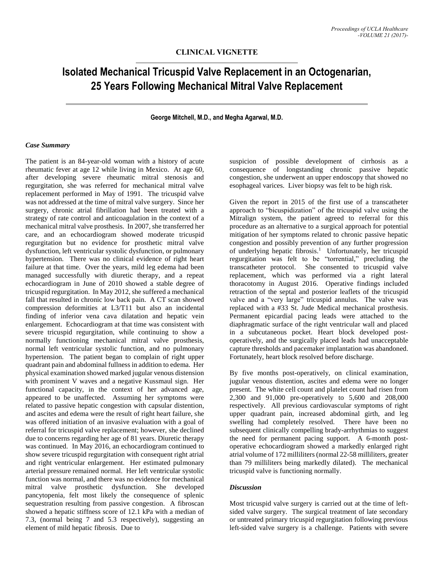## **Isolated Mechanical Tricuspid Valve Replacement in an Octogenarian, 25 Years Following Mechanical Mitral Valve Replacement**

**George Mitchell, M.D., and Megha Agarwal, M.D.**

## *Case Summary*

The patient is an 84-year-old woman with a history of acute rheumatic fever at age 12 while living in Mexico. At age 60, after developing severe rheumatic mitral stenosis and regurgitation, she was referred for mechanical mitral valve replacement performed in May of 1991. The tricuspid valve was not addressed at the time of mitral valve surgery. Since her surgery, chronic atrial fibrillation had been treated with a strategy of rate control and anticoagulation in the context of a mechanical mitral valve prosthesis. In 2007, she transferred her care, and an echocardiogram showed moderate tricuspid regurgitation but no evidence for prosthetic mitral valve dysfunction, left ventricular systolic dysfunction, or pulmonary hypertension. There was no clinical evidence of right heart failure at that time. Over the years, mild leg edema had been managed successfully with diuretic therapy, and a repeat echocardiogram in June of 2010 showed a stable degree of tricuspid regurgitation. In May 2012, she suffered a mechanical fall that resulted in chronic low back pain. A CT scan showed compression deformities at L3/T11 but also an incidental finding of inferior vena cava dilatation and hepatic vein enlargement. Echocardiogram at that time was consistent with severe tricuspid regurgitation, while continuing to show a normally functioning mechanical mitral valve prosthesis, normal left ventricular systolic function, and no pulmonary hypertension. The patient began to complain of right upper quadrant pain and abdominal fullness in addition to edema. Her physical examination showed marked jugular venous distension with prominent V waves and a negative Kussmaul sign. Her functional capacity, in the context of her advanced age, appeared to be unaffected. Assuming her symptoms were related to passive hepatic congestion with capsular distention, and ascites and edema were the result of right heart failure, she was offered initiation of an invasive evaluation with a goal of referral for tricuspid valve replacement; however, she declined due to concerns regarding her age of 81 years. Diuretic therapy was continued. In May 2016, an echocardiogram continued to show severe tricuspid regurgitation with consequent right atrial and right ventricular enlargement. Her estimated pulmonary arterial pressure remained normal. Her left ventricular systolic function was normal, and there was no evidence for mechanical mitral valve prosthetic dysfunction. She developed pancytopenia, felt most likely the consequence of splenic sequestration resulting from passive congestion. A fibroscan showed a hepatic stiffness score of 12.1 kPa with a median of 7.3, (normal being 7 and 5.3 respectively), suggesting an element of mild hepatic fibrosis. Due to

suspicion of possible development of cirrhosis as a consequence of longstanding chronic passive hepatic congestion, she underwent an upper endoscopy that showed no esophageal varices. Liver biopsy was felt to be high risk.

Given the report in 2015 of the first use of a transcatheter approach to "bicuspidization" of the tricuspid valve using the Mitralign system, the patient agreed to referral for this procedure as an alternative to a surgical approach for potential mitigation of her symptoms related to chronic passive hepatic congestion and possibly prevention of any further progression of underlying hepatic fibrosis. <sup>1</sup> Unfortunately, her tricuspid regurgitation was felt to be "torrential," precluding the transcatheter protocol. She consented to tricuspid valve replacement, which was performed via a right lateral thoracotomy in August 2016. Operative findings included retraction of the septal and posterior leaflets of the tricuspid valve and a "very large" tricuspid annulus. The valve was replaced with a #33 St. Jude Medical mechanical prosthesis. Permanent epicardial pacing leads were attached to the diaphragmatic surface of the right ventricular wall and placed in a subcutaneous pocket. Heart block developed postoperatively, and the surgically placed leads had unacceptable capture thresholds and pacemaker implantation was abandoned. Fortunately, heart block resolved before discharge.

By five months post-operatively, on clinical examination, jugular venous distention, ascites and edema were no longer present. The white cell count and platelet count had risen from 2,300 and 91,000 pre-operatively to 5,600 and 208,000 respectively. All previous cardiovascular symptoms of right upper quadrant pain, increased abdominal girth, and leg swelling had completely resolved. There have been no subsequent clinically compelling brady-arrhythmias to suggest the need for permanent pacing support. A 6-month postoperative echocardiogram showed a markedly enlarged right atrial volume of 172 milliliters (normal 22-58 milliliters, greater than 79 milliliters being markedly dilated). The mechanical tricuspid valve is functioning normally.

## *Discussion*

Most tricuspid valve surgery is carried out at the time of leftsided valve surgery. The surgical treatment of late secondary or untreated primary tricuspid regurgitation following previous left-sided valve surgery is a challenge. Patients with severe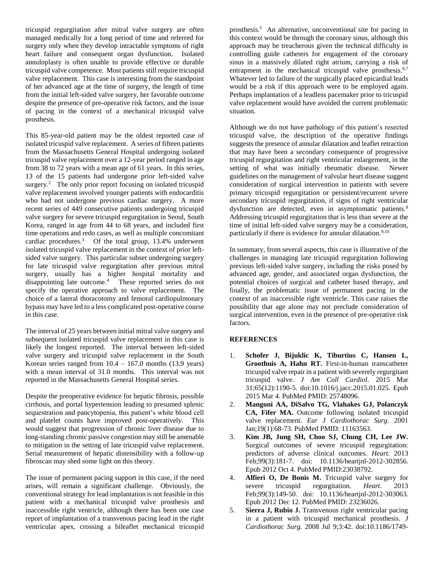tricuspid regurgitation after mitral valve surgery are often managed medically for a long period of time and referred for surgery only when they develop intractable symptoms of right heart failure and consequent organ dysfunction. Isolated annuloplasty is often unable to provide effective or durable tricuspid valve competence. Most patients still require tricuspid valve replacement. This case is interesting from the standpoint of her advanced age at the time of surgery, the length of time from the initial left-sided valve surgery, her favorable outcome despite the presence of pre-operative risk factors, and the issue of pacing in the context of a mechanical tricuspid valve prosthesis.

This 85-year-old patient may be the oldest reported case of isolated tricuspid valve replacement. A series of fifteen patients from the Massachusetts General Hospital undergoing isolated tricuspid valve replacement over a 12-year period ranged in age from 38 to 72 years with a mean age of 61 years. In this series, 13 of the 15 patients had undergone prior left-sided valve surgery.<sup>2</sup> The only prior report focusing on isolated tricuspid valve replacement involved younger patients with endocarditis who had not undergone previous cardiac surgery. A more recent series of 449 consecutive patients undergoing tricuspid valve surgery for severe tricuspid regurgitation in Seoul, South Korea, ranged in age from 44 to 68 years, and included first time operations and redo cases, as well as multiple concomitant cardiac procedures.<sup>3</sup> Of the total group, 13.4% underwent isolated tricuspid valve replacement in the context of prior leftsided valve surgery. This particular subset undergoing surgery for late tricuspid valve regurgitation after previous mitral surgery, usually has a higher hospital mortality and disappointing late outcome.<sup>4</sup> These reported series do not specify the operative approach to valve replacement. The choice of a lateral thoracotomy and femoral cardiopulmonary bypass may have led to a less complicated post-operative course in this case.

The interval of 25 years between initial mitral valve surgery and subsequent isolated tricuspid valve replacement in this case is likely the longest reported. The interval between left-sided valve surgery and tricuspid valve replacement in the South Korean series ranged from  $10.4 - 167.0$  months (13.9 years) with a mean interval of 31.0 months. This interval was not reported in the Massachusetts General Hospital series.

Despite the preoperative evidence for hepatic fibrosis, possible cirrhosis, and portal hypertension leading to presumed splenic sequestration and pancytopenia, this patient's white blood cell and platelet counts have improved post-operatively. This would suggest that progression of chronic liver disease due to long-standing chronic passive congestion may still be amenable to mitigation in the setting of late tricuspid valve replacement. Serial measurement of hepatic distensibility with a follow-up fibroscan may shed some light on this theory.

The issue of permanent pacing support in this case, if the need arises, will remain a significant challenge. Obviously, the conventional strategy for lead implantation is not feasible in this patient with a mechanical tricuspid valve prosthesis and inaccessible right ventricle, although there has been one case report of implantation of a transvenous pacing lead in the right ventricular apex, crossing a bileaflet mechanical tricuspid

prosthesis. 5 An alternative, unconventional site for pacing in this context would be through the coronary sinus, although this approach may be treacherous given the technical difficulty in controlling guide catheters for engagement of the coronary sinus in a massively dilated right atrium, carrying a risk of entrapment in the mechanical tricuspid valve prosthesis.<sup>6,7</sup> Whatever led to failure of the surgically placed epicardial leads would be a risk if this approach were to be employed again. Perhaps implantation of a leadless pacemaker prior to tricuspid valve replacement would have avoided the current problematic situation.

Although we do not have pathology of this patient's resected tricuspid valve, the description of the operative findings suggests the presence of annular dilatation and leaflet retraction that may have been a secondary consequence of progressive tricuspid regurgitation and right ventricular enlargement, in the setting of what was initially rheumatic disease. Newer guidelines on the management of valvular heart disease suggest consideration of surgical intervention in patients with severe primary tricuspid regurgitation or persistent/recurrent severe secondary tricuspid regurgitation, if signs of right ventricular dysfunction are detected, even in asymptomatic patients.<sup>8</sup> Addressing tricuspid regurgitation that is less than severe at the time of initial left-sided valve surgery may be a consideration, particularly if there is evidence for annular dilatation.<sup>9,10</sup>

In summary, from several aspects, this case is illustrative of the challenges in managing late tricuspid regurgitation following previous left-sided valve surgery, including the risks posed by advanced age, gender, and associated organ dysfunction, the potential choices of surgical and catheter based therapy, and finally, the problematic issue of permanent pacing in the context of an inaccessible right ventricle. This case raises the possibility that age alone may not preclude consideration of surgical intervention, even in the presence of pre-operative risk factors.

## **REFERENCES**

- 1. **Schofer J, Bijuklic K, Tiburtius C, Hansen L, Groothuis A, Hahn RT.** First-in-human transcatheter tricuspid valve repair in a patient with severely regurgitant tricuspid valve. *J Am Coll Cardiol*. 2015 Mar 31;65(12):1190-5. doi:10.1016/j.jacc.2015.01.025. Epub 2015 Mar 4. PubMed PMID: 25748096.
- 2. **Mangoni AA, DiSalvo TG, Vlahakes GJ, Polanczyk CA, Fifer MA.** Outcome following isolated tricuspid valve replacement. *Eur J Cardiothorac Surg.* 2001 Jan;19(1):68-73. PubMed PMID: 11163563.
- 3. **Kim JB, Jung SH, Choo SJ, Chung CH, Lee JW.** Surgical outcomes of severe tricuspid regurgitation: predictors of adverse clinical outcomes. *Heart.* 2013 Feb;99(3):181-7. doi: 10.1136/heartjnl-2012-302856. Epub 2012 Oct 4. PubMed PMID:23038792.
- 4. **Alfieri O, De Bonis M.** Tricuspid valve surgery for severe tricuspid regurgitation. *Heart*. 2013 Feb;99(3):149-50. doi: 10.1136/heartjnl-2012-303063. Epub 2012 Dec 12. PubMed PMID: 23236026.
- 5. **Sierra J, Rubio J.** Transvenous right ventricular pacing in a patient with tricuspid mechanical prosthesis. *J Cardiothorac Surg.* 2008 Jul 9;3:42. doi:10.1186/1749-